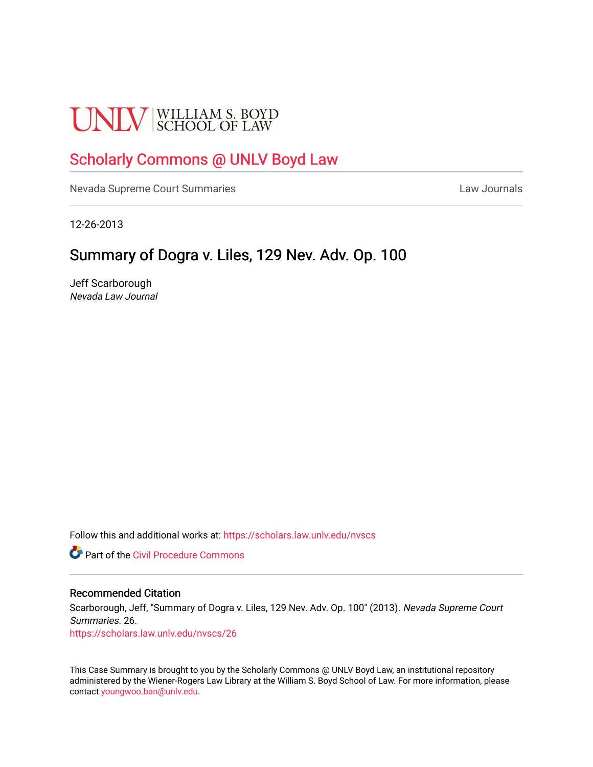# **UNLV** SCHOOL OF LAW

## [Scholarly Commons @ UNLV Boyd Law](https://scholars.law.unlv.edu/)

[Nevada Supreme Court Summaries](https://scholars.law.unlv.edu/nvscs) **Law Journals** Law Journals

12-26-2013

### Summary of Dogra v. Liles, 129 Nev. Adv. Op. 100

Jeff Scarborough Nevada Law Journal

Follow this and additional works at: [https://scholars.law.unlv.edu/nvscs](https://scholars.law.unlv.edu/nvscs?utm_source=scholars.law.unlv.edu%2Fnvscs%2F26&utm_medium=PDF&utm_campaign=PDFCoverPages)

**C** Part of the Civil Procedure Commons

#### Recommended Citation

Scarborough, Jeff, "Summary of Dogra v. Liles, 129 Nev. Adv. Op. 100" (2013). Nevada Supreme Court Summaries. 26.

[https://scholars.law.unlv.edu/nvscs/26](https://scholars.law.unlv.edu/nvscs/26?utm_source=scholars.law.unlv.edu%2Fnvscs%2F26&utm_medium=PDF&utm_campaign=PDFCoverPages) 

This Case Summary is brought to you by the Scholarly Commons @ UNLV Boyd Law, an institutional repository administered by the Wiener-Rogers Law Library at the William S. Boyd School of Law. For more information, please contact [youngwoo.ban@unlv.edu](mailto:youngwoo.ban@unlv.edu).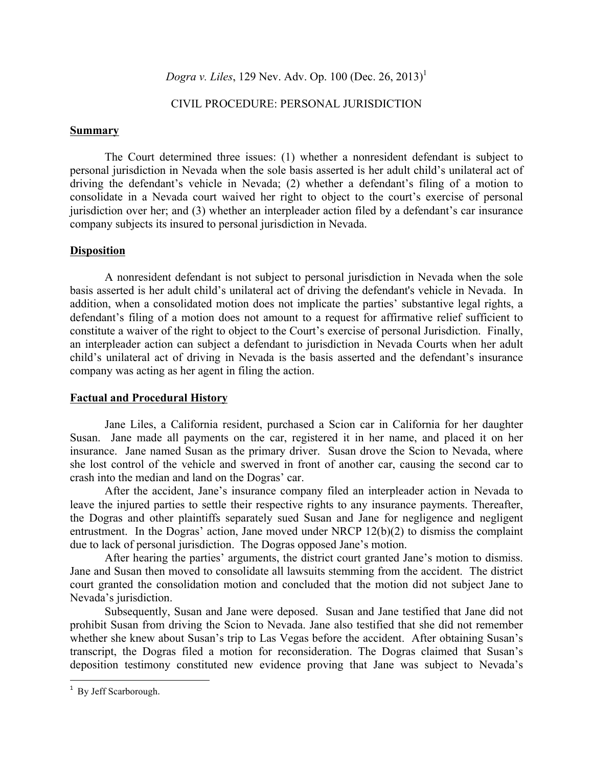*Dogra v. Liles*, 129 Nev. Adv. Op. 100 (Dec. 26, 2013)<sup>1</sup>

#### CIVIL PROCEDURE: PERSONAL JURISDICTION

#### **Summary**

The Court determined three issues: (1) whether a nonresident defendant is subject to personal jurisdiction in Nevada when the sole basis asserted is her adult child's unilateral act of driving the defendant's vehicle in Nevada; (2) whether a defendant's filing of a motion to consolidate in a Nevada court waived her right to object to the court's exercise of personal jurisdiction over her; and (3) whether an interpleader action filed by a defendant's car insurance company subjects its insured to personal jurisdiction in Nevada.

#### **Disposition**

A nonresident defendant is not subject to personal jurisdiction in Nevada when the sole basis asserted is her adult child's unilateral act of driving the defendant's vehicle in Nevada. In addition, when a consolidated motion does not implicate the parties' substantive legal rights, a defendant's filing of a motion does not amount to a request for affirmative relief sufficient to constitute a waiver of the right to object to the Court's exercise of personal Jurisdiction. Finally, an interpleader action can subject a defendant to jurisdiction in Nevada Courts when her adult child's unilateral act of driving in Nevada is the basis asserted and the defendant's insurance company was acting as her agent in filing the action.

#### **Factual and Procedural History**

Jane Liles, a California resident, purchased a Scion car in California for her daughter Susan. Jane made all payments on the car, registered it in her name, and placed it on her insurance. Jane named Susan as the primary driver. Susan drove the Scion to Nevada, where she lost control of the vehicle and swerved in front of another car, causing the second car to crash into the median and land on the Dogras' car.

After the accident, Jane's insurance company filed an interpleader action in Nevada to leave the injured parties to settle their respective rights to any insurance payments. Thereafter, the Dogras and other plaintiffs separately sued Susan and Jane for negligence and negligent entrustment. In the Dogras' action, Jane moved under NRCP 12(b)(2) to dismiss the complaint due to lack of personal jurisdiction. The Dogras opposed Jane's motion.

After hearing the parties' arguments, the district court granted Jane's motion to dismiss. Jane and Susan then moved to consolidate all lawsuits stemming from the accident. The district court granted the consolidation motion and concluded that the motion did not subject Jane to Nevada's jurisdiction.

Subsequently, Susan and Jane were deposed. Susan and Jane testified that Jane did not prohibit Susan from driving the Scion to Nevada. Jane also testified that she did not remember whether she knew about Susan's trip to Las Vegas before the accident. After obtaining Susan's transcript, the Dogras filed a motion for reconsideration. The Dogras claimed that Susan's deposition testimony constituted new evidence proving that Jane was subject to Nevada's

<sup>&</sup>lt;sup>1</sup> By Jeff Scarborough.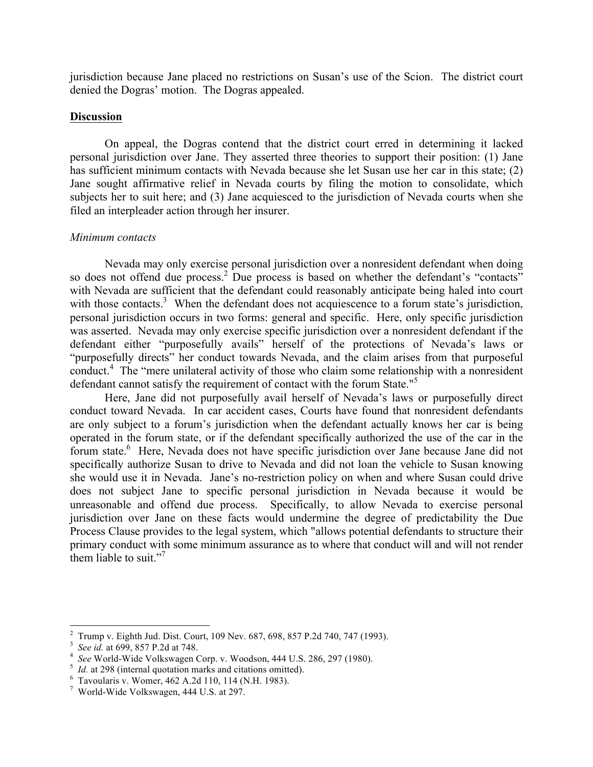jurisdiction because Jane placed no restrictions on Susan's use of the Scion. The district court denied the Dogras' motion. The Dogras appealed.

#### **Discussion**

On appeal, the Dogras contend that the district court erred in determining it lacked personal jurisdiction over Jane. They asserted three theories to support their position: (1) Jane has sufficient minimum contacts with Nevada because she let Susan use her car in this state; (2) Jane sought affirmative relief in Nevada courts by filing the motion to consolidate, which subjects her to suit here; and (3) Jane acquiesced to the jurisdiction of Nevada courts when she filed an interpleader action through her insurer.

#### *Minimum contacts*

Nevada may only exercise personal jurisdiction over a nonresident defendant when doing so does not offend due process.<sup>2</sup> Due process is based on whether the defendant's "contacts" with Nevada are sufficient that the defendant could reasonably anticipate being haled into court with those contacts.<sup>3</sup> When the defendant does not acquiescence to a forum state's jurisdiction, personal jurisdiction occurs in two forms: general and specific. Here, only specific jurisdiction was asserted. Nevada may only exercise specific jurisdiction over a nonresident defendant if the defendant either "purposefully avails" herself of the protections of Nevada's laws or "purposefully directs" her conduct towards Nevada, and the claim arises from that purposeful conduct.<sup>4</sup> The "mere unilateral activity of those who claim some relationship with a nonresident defendant cannot satisfy the requirement of contact with the forum State."<sup>5</sup>

Here, Jane did not purposefully avail herself of Nevada's laws or purposefully direct conduct toward Nevada. In car accident cases, Courts have found that nonresident defendants are only subject to a forum's jurisdiction when the defendant actually knows her car is being operated in the forum state, or if the defendant specifically authorized the use of the car in the forum state.<sup>6</sup> Here, Nevada does not have specific jurisdiction over Jane because Jane did not specifically authorize Susan to drive to Nevada and did not loan the vehicle to Susan knowing she would use it in Nevada. Jane's no-restriction policy on when and where Susan could drive does not subject Jane to specific personal jurisdiction in Nevada because it would be unreasonable and offend due process. Specifically, to allow Nevada to exercise personal jurisdiction over Jane on these facts would undermine the degree of predictability the Due Process Clause provides to the legal system, which "allows potential defendants to structure their primary conduct with some minimum assurance as to where that conduct will and will not render them liable to suit."<sup>7</sup>

<sup>2</sup> Trump v. Eighth Jud. Dist. Court, 109 Nev. 687, 698, 857 P.2d 740, 747 (1993). 3

<sup>&</sup>lt;sup>3</sup> *See id.* at 699, 857 P.2d at 748.<br><sup>4</sup> See World Wide Volkswagen (

<sup>&</sup>lt;sup>4</sup> See World-Wide Volkswagen Corp. v. Woodson, 444 U.S. 286, 297 (1980).

*Id.* at 298 (internal quotation marks and citations omitted).

 $6$  Tavoularis v. Womer, 462 A.2d 110, 114 (N.H. 1983).

World-Wide Volkswagen, 444 U.S. at 297.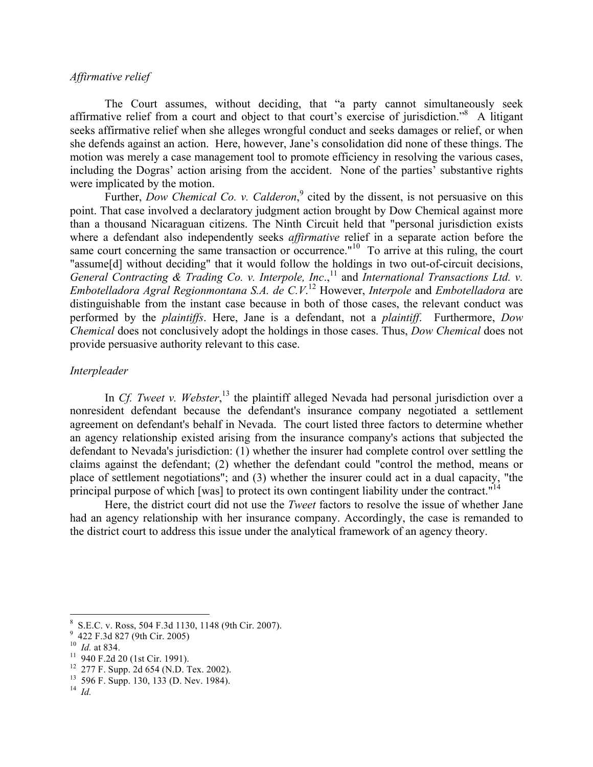#### *Affirmative relief*

The Court assumes, without deciding, that "a party cannot simultaneously seek affirmative relief from a court and object to that court's exercise of jurisdiction."<sup>8</sup> A litigant seeks affirmative relief when she alleges wrongful conduct and seeks damages or relief, or when she defends against an action. Here, however, Jane's consolidation did none of these things. The motion was merely a case management tool to promote efficiency in resolving the various cases, including the Dogras' action arising from the accident. None of the parties' substantive rights were implicated by the motion.

Further, *Dow Chemical Co. v. Calderon*,<sup>9</sup> cited by the dissent, is not persuasive on this point. That case involved a declaratory judgment action brought by Dow Chemical against more than a thousand Nicaraguan citizens. The Ninth Circuit held that "personal jurisdiction exists where a defendant also independently seeks *affirmative* relief in a separate action before the same court concerning the same transaction or occurrence."<sup>10</sup> To arrive at this ruling, the court "assume[d] without deciding" that it would follow the holdings in two out-of-circuit decisions, General Contracting & Trading Co. v. Interpole, Inc.,<sup>11</sup> and *International Transactions Ltd.* v. *Embotelladora Agral Regionmontana S.A. de C.V*. <sup>12</sup> However, *Interpole* and *Embotelladora* are distinguishable from the instant case because in both of those cases, the relevant conduct was performed by the *plaintiffs*. Here, Jane is a defendant, not a *plaintiff*. Furthermore, *Dow Chemical* does not conclusively adopt the holdings in those cases. Thus, *Dow Chemical* does not provide persuasive authority relevant to this case.

#### *Interpleader*

In *Cf. Tweet v. Webster*,<sup>13</sup> the plaintiff alleged Nevada had personal jurisdiction over a nonresident defendant because the defendant's insurance company negotiated a settlement agreement on defendant's behalf in Nevada. The court listed three factors to determine whether an agency relationship existed arising from the insurance company's actions that subjected the defendant to Nevada's jurisdiction: (1) whether the insurer had complete control over settling the claims against the defendant; (2) whether the defendant could "control the method, means or place of settlement negotiations"; and (3) whether the insurer could act in a dual capacity, "the principal purpose of which [was] to protect its own contingent liability under the contract."<sup>14</sup>

Here, the district court did not use the *Tweet* factors to resolve the issue of whether Jane had an agency relationship with her insurance company. Accordingly, the case is remanded to the district court to address this issue under the analytical framework of an agency theory.

<sup>&</sup>lt;sup>8</sup> S.E.C. v. Ross, 504 F.3d 1130, 1148 (9th Cir. 2007).<br><sup>9</sup> 422 F.3d 827 (9th Cir. 2005)

<sup>&</sup>lt;sup>10</sup> *Id.* at 834. <sup>11</sup> 940 F.2d 20 (1st Cir. 1991).<br><sup>12</sup> 277 F. Supp. 2d 654 (N.D. Tex. 2002).<br><sup>13</sup> 596 F. Supp. 130, 133 (D. Nev. 1984). <sup>14</sup> *Id*